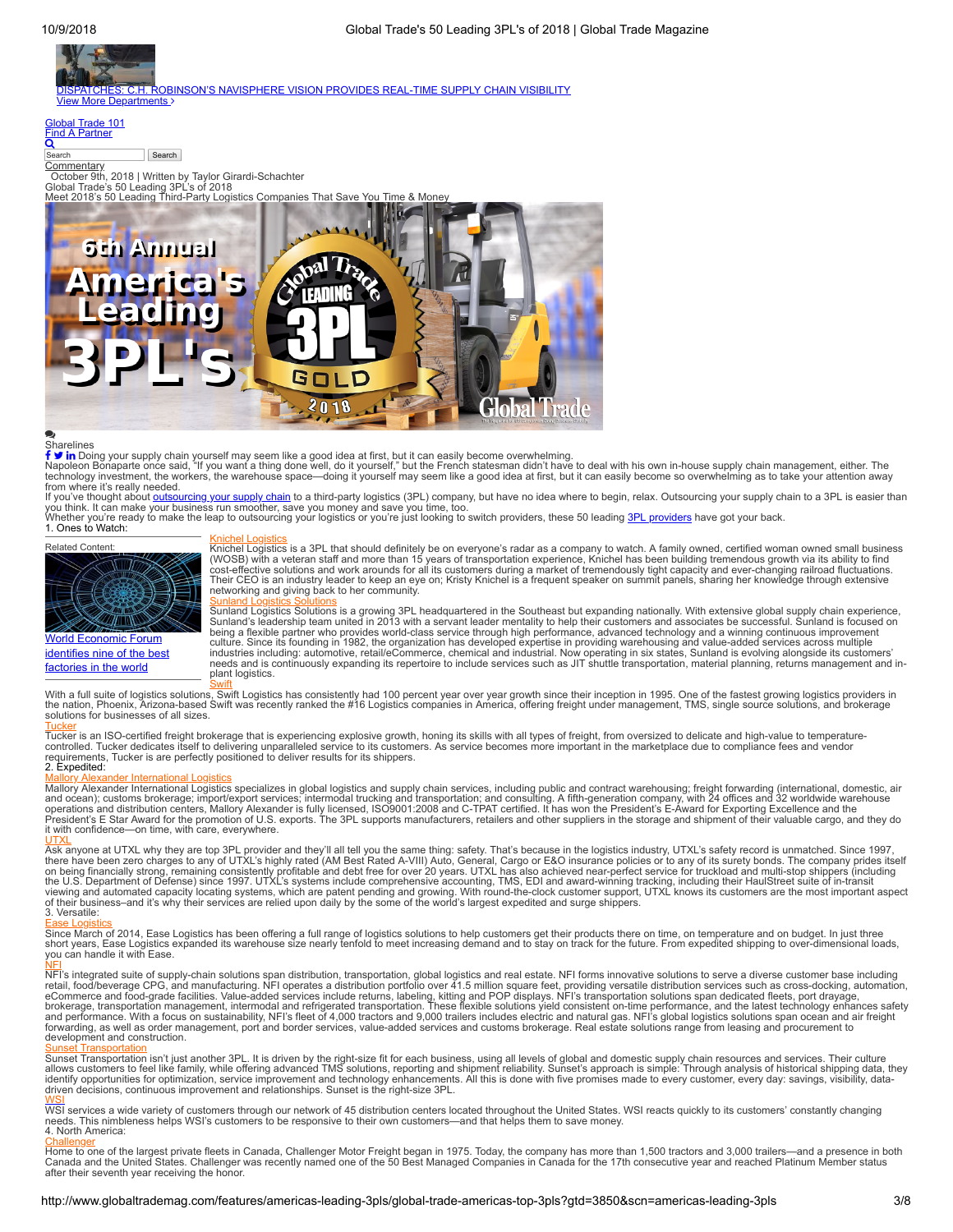

Search<br>[Commentary](http://www.globaltrademag.com/features/americas-leading-3pls/global-trade-americas-top-3pls?gtd=3850&scn=americas-leading-3pls)<br>October 9th, 2018 | Written by Taylor Girardi-Schachter<br>Global Trade's 50 Leading 3PL's of 2018<br>Meet 2018's 50 Leading Third-Party Logistics Companies That Save You Time & Money



# Sharelines

f∋in∣

**f У in** Doing your supply chain yourself may seem like a good idea at first, but it can easily become overwhelming.<br>Napoleon Bonaparte once said, "If you want a thing done well, do it yourself," but the French statesman

from where it's really needed.<br>If you've thought about <u>outsourcing your supply chain</u> to a third-party logistics (3PL) company, but have no idea where to begin, relax. Outsourcing your supply chain to a 3PL is easier than you think. It can make your business run smoother, save you money and save you time, too.<br>Whether you're ready to make the leap to outsourcing your logistics or you're just looking to switch providers, these 50 leading <u>3P</u>

1. Ones to Watch:

### Related Content



World [Economic](http://www.globaltrademag.com/global-logistics/world-economic-forum-identifies-nine-of-the-best-factories-in-the-world) Forum identifies nine of the best factories in the world

<mark>[Knichel Logistics](http://www.knichellogistics.com/)</mark><br>Knichel Logistics<br>(WOSB) with a veteran staff and more than 15 years of transportation experience, Knichel has been building tremendous growth via its ability to find<br>(WOSB) with a veteran staff and mor networking and giving back to her community.

Sunland Loğistics Solutions is a growing 3PL headquartered in the Southeast but expanding nationally. With extensive global supply chain experience,<br>Sunland's leadership team united in 2013 with a servant leader mentality culture. Since its founding in 1982, the organization has developed expertise in providing warehousing and value-added services across multiple<br>industries including: automotive, retail/eCommerce, chemical and industrial. N needs and is continuously expanding its repertoire to include services such as JIT shuttle transportation, material planning, returns management and inplant logistics.

[Swift](http://www.swiftlogistics.com/) With a full suite of logistics solutions, Swift Logistics has consistently had 100 percent year over year growth since their inception in 1995. One of the fastest growing logistics providers in the nation, Phoenix, Arizona-based Swift was recently ranked the #16 Logistics companies in America, offering freight under management, TMS, single source solutions, and brokerage solutions for businesses of all sizes.

<u>[Tucker](https://tuckerco.com/)</u><br>Tucker is an ISO-certified freight brokerage that is experiencing explosive growth, honing its skills with all types of freight, from oversized to delicate and high-value to temperature-<br>controlled. Tucker dedicat 2. Expedited:

<mark>[Mallory Alexander International Logistics](https://www.mallorygroup.com/)</mark><br>Mallory Alexander International Logistics specializes in global logistics and supply chain services, including public and contract warehousing; freight forwarding (international, and ocean); customs brokerage; import/export services; intermodal trucking and transportation; and consulting. A fifth-generation company, with 24 offices and 32 worldwide warehouse<br>operations and distribution centers, Mal it with confidence—on time, with care, everywhere.

[UTXL](https://utxl.com/)<br>Ask anyone at UTXL why they are top 3PL provider and they'll all tell you the same thing: safety. That's because in the logistics industry, UTXL's safety record is unmatched. Since 1997,<br>Ask anyone at UTXL why they ar 3. Versatile:

<u>[Ease Logistics](https://easelogistics.com/)</u><br>Since March of 2014, Ease Logistics has been offering a full range of logistics solutions to help customers get their products there on time, on temperature and on budget. In just three<br>short years, Ease L

[NFI](https://www.nfiindustries.com/)'s integrated suite of supply-chain solutions span distribution, transportation, global logistics and real estate. NFI forms innovative solutions to serve a diverse customer base including<br>NFI's integrated suite of supp development and construction.

<mark>[Sunset Transportation](https://www.sunsettrans.com/)</mark><br>Sunset Transportation isn't just another 3PL. It is driven by the right-size fit for each business, using all levels of global and domestic supply chain resources and services. Their culture<br>allows driven decisions, continuous improvement and relationships. Sunset is the right-size 3PL.

<u>[WSI](http://www.wsinc.com/)</u><br>WSI services a wide variety of customers through our network of 45 distribution centers located throughout the United States. WSI reacts quickly to its customers' constantly changing<br>needs. This nimbleness helps WSI' 4. North America:

<u>[Challenger](https://www.challenger.com/)</u><br>Home to one of the largest private fleets in Canada, Challenger Motor Freight began in 1975. Today, the company has more than 1,500 tractors and 3,000 trailers—and a presence in both<br>Canada and the United Stat after their seventh year receiving the honor.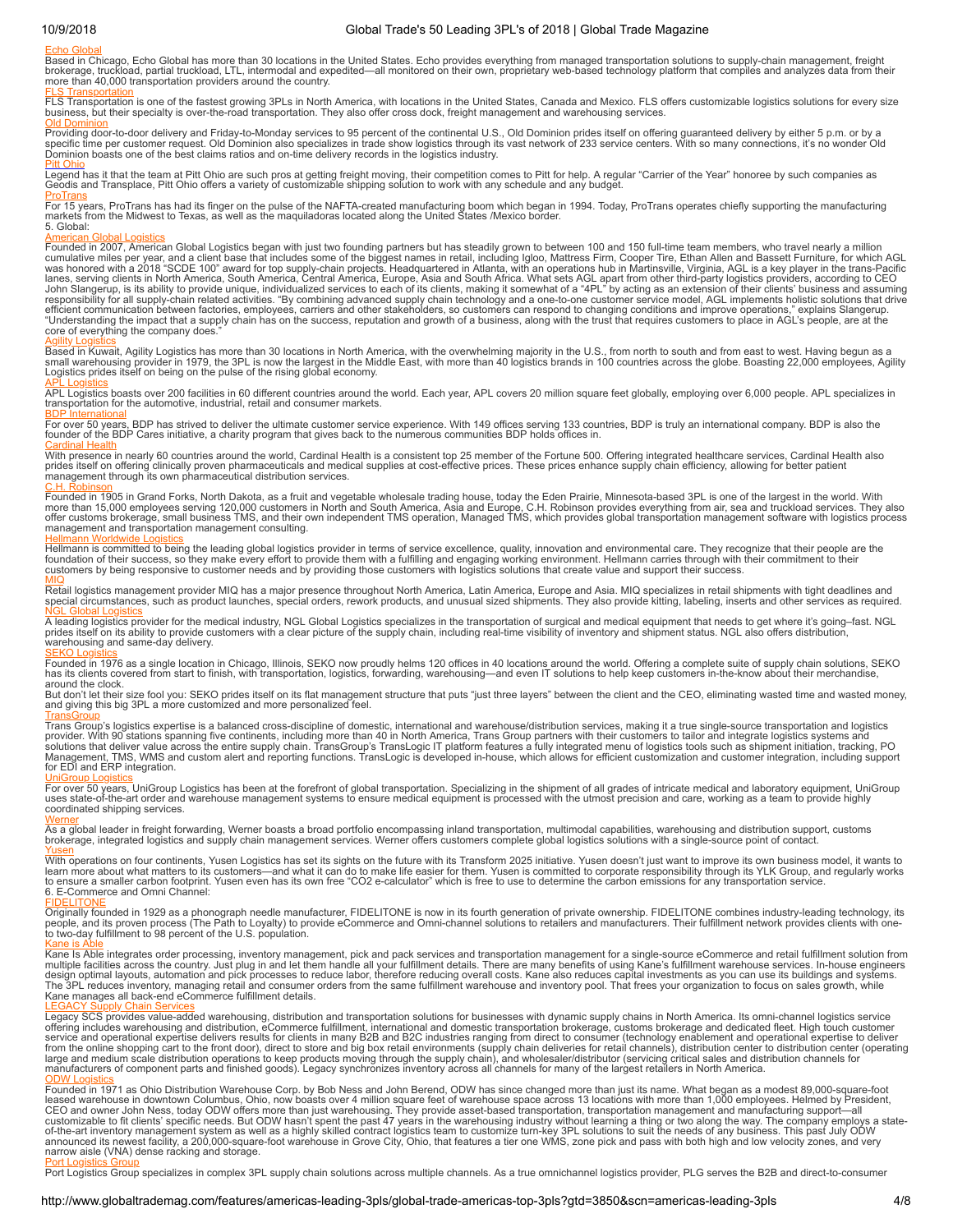## 10/9/2018 Global Trade's 50 Leading 3PL's of 2018 | Global Trade Magazine

<mark>[Echo Global](https://www.echo.com/)</mark><br>Based in Chicago, Echo Global has more than 30 locations in the United States. Echo provides everything from managed transportation solutions to supply-chain management, freight<br>brokerage, truckload, partial more than 40,000 transportation providers around the country.

<mark>[FLS Transportation](https://www.flstransport.com/)</mark><br>FLS Transportation is one of the fastest growing 3PLs in North America, with locations in the United States, Canada and Mexico. FLS offers customizable logistics solutions for every size<br>business, but

<mark>[Old Dominion](https://www.odfl.com/Home/)</mark><br>Providing door-to-door delivery and Friday-to-Monday services to 95 percent of the continental U.S., Old Dominion prides itself on offering guaranteed delivery by either 5 p.m. or by a<br>specific time per cust

<mark>[Pitt Ohio](https://works.pittohio.com/myPittOhio/)</mark><br>Legend has it that the team at Pitt Ohio are such pros at getting freight moving, their competition comes to Pitt for help. A regular "Carrier of the Year" honoree by such companies as<br>Geodis and Transplace, Pi

<mark>[ProTrans](http://www.protrans.com/)</mark><br>For 15 years, ProTrans has had its finger on the pulse of the NAFTA-created manufacturing boom which began in 1994. Today, ProTrans operates chiefly supporting the manufacturing<br>markets from the Midwest to Texas 5. Global:

<u>[American Global Logistics](https://americangloballogistics.com/)</u><br>Founded in 2007, American Global Logistics began with just two founding partners but has steadily grown to between 100 and 150 full-time team members, who travel nearly a million<br>cumulative mile lanes, serving clients in North America, South America, Central America, Europe, Asia and South Africa. What sets AGL apart from other third-party logistics providers, according to CEO<br>John Slangerup, is its ability to pro core of everything the company does

<mark>[Agility Logistics](https://www.agility.com/en/homepage/)</mark><br>Based in Kuwait, Agility Logistics has more than 30 locations in North America, with the overwhelming majority in the U.S., from north to south and from east to west. Having begun as a<br>small warehousing Logistics prides itself on being on the pulse of the rising global economy.

<u>[APL Logistics](http://www.apllogistics.com/)</u><br>APL Logistics boasts over 200 facilities in 60 different countries around the world. Each year, APL covers 20 million square feet globally, employing over 6,000 people. APL specializes in<br>transportation for

<mark>[BDP International](https://www.bdpinternational.com/)</mark><br>For over 50 years, BDP has strived to deliver the ultimate customer service experience. With 149 offices serving 133 countries, BDP is truly an international company. BDP is also the<br>founder of the BDP

[Cardinal Health](https://www.cardinalhealth.com/en.html)<br>With presence in nearly 60 countries around the world, Cardinal Health is a consistent top 25 member of the Fortune 500. Offering integrated healthcare services, Cardinal Health also<br>prides itself on offeri

<u>[C.H. Robinson](https://www.chrobinson.com/en-us/)</u><br>Founded in 1905 in Grand Forks, North Dakota, as a fruit and vegetable wholesale trading house, today the Eden Prairie, Minnesota-based 3PL is one of the largest in the world. With<br>more than 15,000 employee management and transportation management consulting.

<u>[Hellmann Worldwide Logistics](https://www.hellmann.net/en/united-states/)</u><br>Hellmann is committed to being the leading global logistics provider in terms of service excellence, quality, innovation and environmental care. They recognize that their people are the<br>found

<mark>[MIQ](https://www.miq.com/)</mark><br>Retail logistics management provider MIQ has a major presence throughout North America, Latin America, Europe and Asia. MIQ specializes in retail shipments with tight deadlines and<br>special circumstances, such as prod

<mark>[NGL Global Logistics](http://www.nglog.com/)</mark><br>A leading logistics provider for the medical industry, NGL Global Logistics specializes in the transportation of surgical and medical equipment that needs to get where it's going–fast. NGL<br>prides its

<u>[SEKO Logistics](https://www.sekologistics.com/en/)</u><br>Founded in 1976 as a single location in Chicago, Illinois, SEKO now proudly helms 120 offices in 40 locations around the world. Offering a complete suite of supply chain solutions, SEKO<br>has its clients cov

around the clock.<br>But don't let their size fool you: SEKO prides itself on its flat management structure that puts "just three layers" between the client and the CEO, eliminating wasted time and wasted money, and giving this big 3PL a more customized and more personalized feel.

<mark>[TransGroup](http://www.transgroup.com/)</mark><br>Trans Group's logistics expertise is a balanced cross-discipline of domestic, international and warehouse/distribution services, making it a true single-source transportation and logistics<br>provider. With 90 st for EDI and ERP integration.

<mark>[UniGroup Logistics](http://www.unigrouplogistics.com/)</mark><br>For over 50 years, UniGroup Logistics has been at the forefront of global transportation. Specializing in the shipment of all grades of intricate medical and laboratory equipment, UniGroup uses state-of-the-art order and warehouse management systems to ensure medical equipment is processed with the utmost precision and care, working as a team to provide highly coordinated shipping services.

<mark>[Werner](http://www.werner.com/content/logistics/)</mark><br>As a global leader in freight forwarding, Werner boasts a broad portfolio encompassing inland transportation, multimodal capabilities, warehousing and distribution support, customs<br>brokerage, integrated logistics

<u>[Yusen](http://us.yusen-logistics.com/)</u><br>With operations on four continents, Yusen Logistics has set its sights on the future with its Transform 2025 initiative. Yusen doesn't just want to improve its own business model, it wants to<br>learn more about what

<u>[FIDELITONE](https://www.fidelitone.com/)</u><br>Originally founded in 1929 as a phonograph needle manufacturer, FIDELITONE is now in its fourth generation of private ownership. FIDELITONE combines industry-leading technology, its<br>people, and its proven proc

<mark>[Kane is Able](https://www.kaneisable.com/)</mark><br>Mane Is Able integrates order processing, inventory management, pick and pack services and transportation management for a single-source eCommerce and retail fulfillment solution from<br>multiple facilities acr Kane manages all back-end eCommerce fulfillment details.

<u>[LEGACY Supply Chain Services](https://legacyscs.com/)</u><br>Offering includes walle-added warehousing, distribution and transportation solutions for businesses with dynamic supply chains in North America. Its omni-channel logistics service<br>Legacy SCS

[ODW Logistics](http://www.odwlogistics.com/)<br>Founded in 1971 as Ohio Distribution Warehouse Corp. by Bob Ness and John Berend, ODW has since changed more than just its name. What began as a modest 89,000-square-foot<br>Founded in 1971 as Ohio Distribution narrow aisle (VNA) dense racking and storage.

[Port Logistics Group](https://www.portlogisticsgroup.com/)<br>Port Logistics Group specializes in complex 3PL supply chain solutions across multiple channels. As a true omnichannel logistics provider, PLG serves the B2B and direct-to-consumer